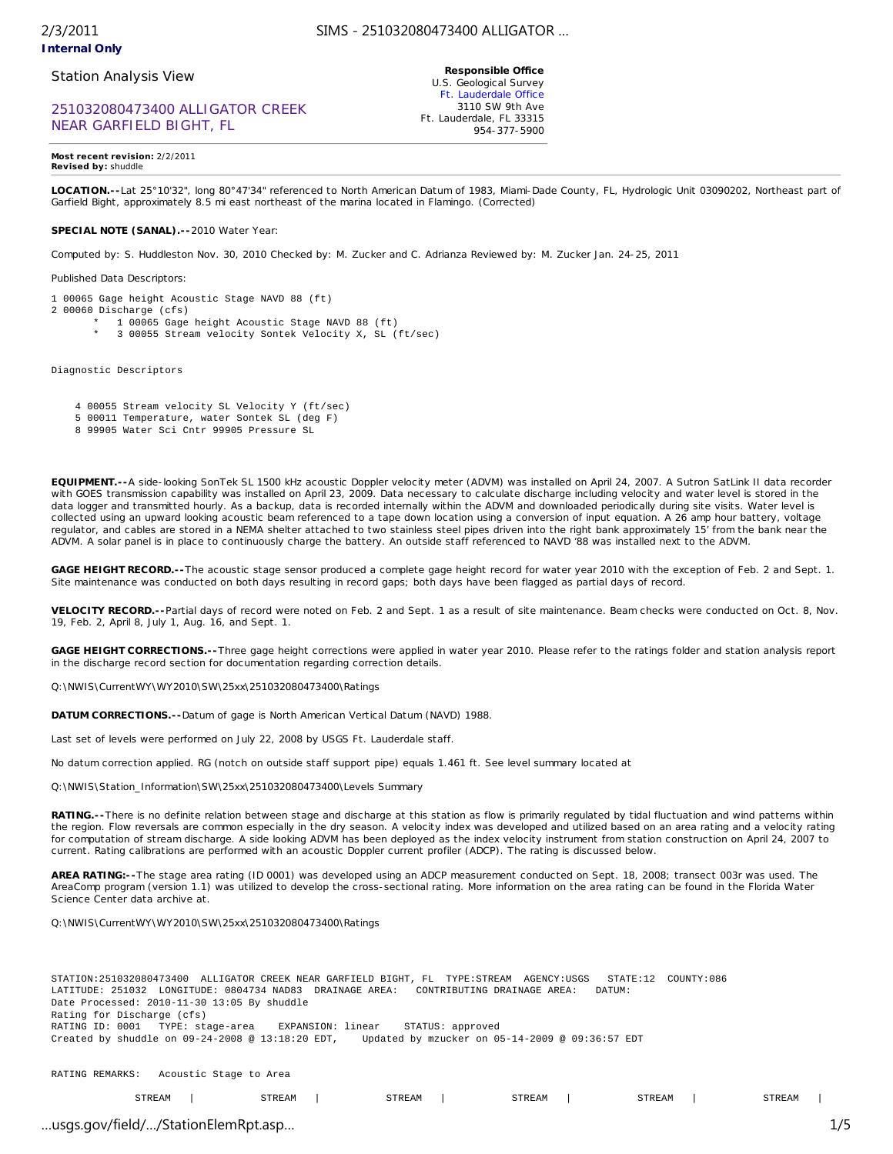Station Analysis View

251032080473400 ALLIGATOR CREEK NEAR GARFIELD BIGHT, FL

**Most recent revision:** 2/2/2011 **Revised by:** shuddle

**LOCATION.--**Lat 25°10'32", long 80°47'34" referenced to North American Datum of 1983, Miami-Dade County, FL, Hydrologic Unit 03090202, Northeast part of Garfield Bight, approximately 8.5 mi east northeast of the marina located in Flamingo. (Correc ted)

#### **SPECIAL NOTE (SANAL).--**2010 Water Year:

Computed by: S. Huddleston Nov. 30, 2010 Checked by: M. Zucker and C. Adrianza Reviewed by: M. Zucker Jan. 24-25, 2011

Published Data Descriptors:

- 1 00065 Gage height Acoustic Stage NAVD 88 (ft)
- 2 00060 Discharge (cfs)
	- 1 00065 Gage height Acoustic Stage NAVD 88 (ft)
		- 3 00055 Stream velocity Sontek Velocity X, SL (ft/sec)

Diagnostic Descriptors

- 4 00055 Stream velocity SL Velocity Y (ft/sec)
- 5 00011 Temperature, water Sontek SL (deg F)
- 8 99905 Water Sci Cntr 99905 Pressure SL

**EQUIPMENT.--**A side-looking SonTek SL 1500 kHz acoustic Doppler velocity meter (ADVM) was installed on April 24, 2007. A Sutron SatLink II data recorder with GOES transmission capability was installed on April 23, 2009. Data necessary to calculate discharge including velocity and water level is stored in the data logger and transmitted hourly. As a backup, data is recorded internally within the ADVM and downloaded periodically during site visits. Water level is collected using an upward looking acoustic beam referenced to a tape down location using a conversion of input equation. A 26 amp hour battery, voltage regulator, and cables are stored in a NEMA shelter attached to two stainless steel pipes driven into the right bank approximately 15' from the bank near the ADVM. A solar panel is in place to continuously charge the battery. An outside staff referenced to NAVD '88 was installed next to the ADVM.

**GAGE HEIGHT RECORD.--**The acoustic stage sensor produced a complete gage height record for water year 2010 with the exception of Feb. 2 and Sept. 1. Site maintenance was conducted on both days resulting in record gaps; both days have been flagged as partial days of record.

**VELOCITY RECORD.--**Partial days of record were noted on Feb. 2 and Sept. 1 as a result of site maintenance. Beam checks were conducted on Oct. 8, Nov. 19, Feb. 2, April 8, July 1, Aug. 16, and Sept. 1.

**GAGE HEIGHT CORRECTIONS.--**Three gage height correc tions were applied in water year 2010. Please refer to the ratings folder and station analysis report in the discharge record sec tion for documentation regarding correction details.

Q:\NWIS\CurrentWY\WY2010\SW\25xx\251032080473400\Ratings

**DATUM CORRECTIONS.--**Datum of gage is North American Vertical Datum (NAVD) 1988.

Last set of levels were performed on July 22, 2008 by USGS Ft. Lauderdale staff.

No datum correc tion applied. RG (notch on outside staff support pipe) equals 1.461 ft. See level summary located at

Q:\NWIS\Station\_Information\SW\25xx\251032080473400\Levels Summary

RATING.--There is no definite relation between stage and discharge at this station as flow is primarily regulated by tidal fluctuation and wind patterns within the region. Flow reversals are common especially in the dry season. A velocity index was developed and utilized based on an area rating and a velocity rating for computation of stream discharge. A side looking ADVM has been deployed as the index velocity instrument from station construc tion on April 24, 2007 to current. Rating calibrations are performed with an acoustic Doppler current profiler (ADCP). The rating is discussed below.

AREA RATING:--The stage area rating (ID 0001) was developed using an ADCP measurement conducted on Sept. 18, 2008; transect 003r was used. The AreaComp program (version 1.1) was utilized to develop the cross-sectional rating. More information on the area rating can be found in the Florida Water Science Center data archive at.

Q:\NWIS\CurrentWY\WY2010\SW\25xx\251032080473400\Ratings

| STATION:251032080473400 ALLIGATOR CREEK NEAR GARFIELD BIGHT, FL TYPE:STREAM AGENCY:USGS STATE:12 COUNTY:086                             |        |
|-----------------------------------------------------------------------------------------------------------------------------------------|--------|
| LATITUDE: 251032 LONGITUDE: 0804734 NAD83 DRAINAGE AREA: CONTRIBUTING DRAINAGE AREA:                                                    | DATUM: |
| Date Processed: 2010-11-30 13:05 By shuddle                                                                                             |        |
| Rating for Discharge (cfs)                                                                                                              |        |
| RATING ID: 0001 TYPE: stage-area EXPANSION: linear STATUS: approved                                                                     |        |
| Updated by mzucker on $05-14-2009$ @ $09:36:57$ EDT<br>Created by shuddle on $09-24-2008 \text{ } \textcircled{1}3:18:20 \text{ EDT}$ , |        |

|  | RATING REMARKS: | Acoustic Stage to Area |  |  |
|--|-----------------|------------------------|--|--|
|  |                 |                        |  |  |

| STREAM | STREAM | STREAM | STREAM | STREAM                                                                                                          | <b>CTDEAM</b><br>SIRLAN.                                                                                        |
|--------|--------|--------|--------|-----------------------------------------------------------------------------------------------------------------|-----------------------------------------------------------------------------------------------------------------|
|        |        |        |        | the contract of the contract of the contract of the contract of the contract of the contract of the contract of | the contract of the contract of the contract of the contract of the contract of the contract of the contract of |

# …usgs.gov/field/…/StationElemRpt.asp… 1/5

**Responsible Office** U.S. Geological Survey Ft. Lauderdale Office 3110 SW 9th Ave Ft. Lauderdale, FL 33315 954-377-5900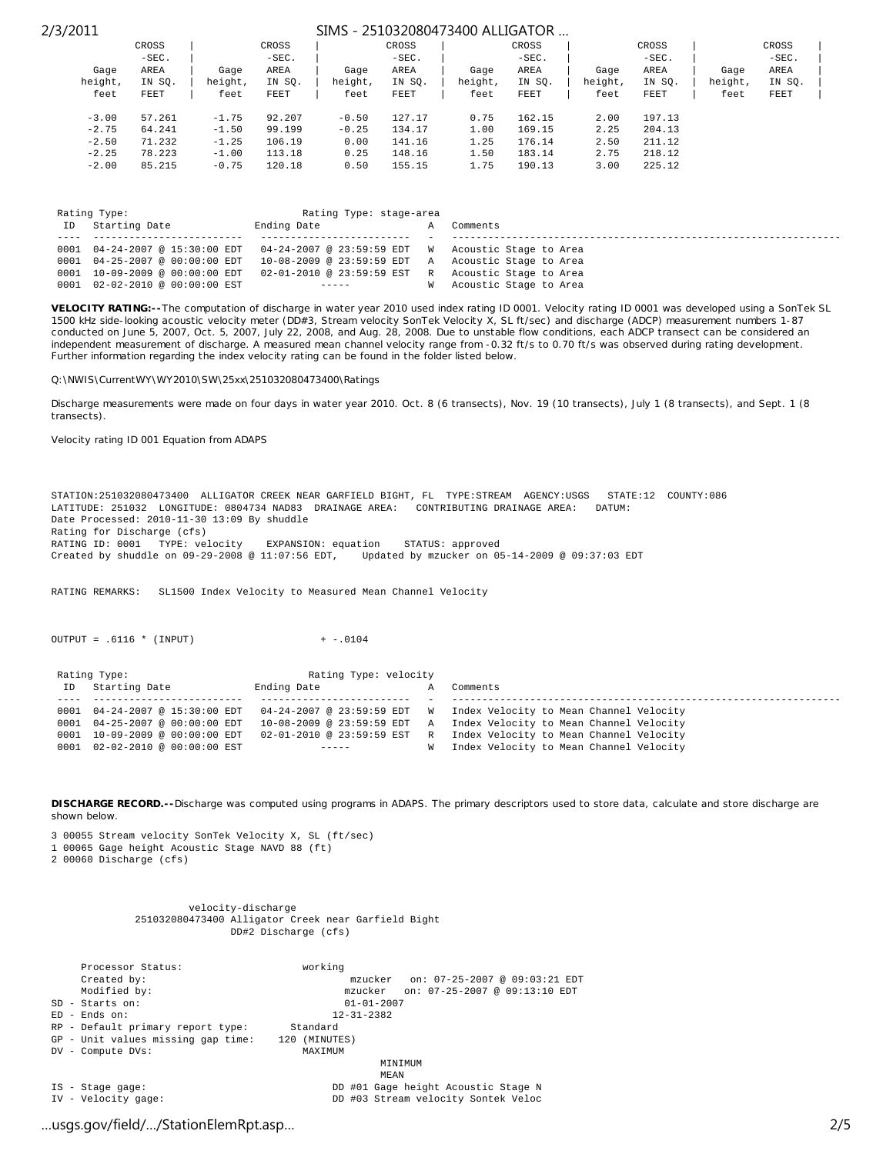## 2/3/2011 SIMS - 251032080473400 ALLIGATOR …

|         | CROSS   |         | CROSS   |         | CROSS   |         | CROSS   |         | CROSS   |         | CROSS   |  |
|---------|---------|---------|---------|---------|---------|---------|---------|---------|---------|---------|---------|--|
|         | $-SEC.$ |         | $-SEC.$ |         | $-SEC.$ |         | $-SEC.$ |         | $-SEC.$ |         | $-SEC.$ |  |
| Gage    | AREA    | Gage    | AREA    | Gage    | AREA    | Gage    | AREA    | Gage    | AREA    | Gage    | AREA    |  |
| height, | IN SO.  | height, | IN SO.  | height, | IN SO.  | height, | IN SO.  | height, | IN SO.  | height, | IN SO.  |  |
| feet    | FEET    | feet    | FEET    | feet    | FEET    | feet    | FEET    | feet    | FEET    | feet    | FEET    |  |
| $-3.00$ | 57.261  | $-1.75$ | 92.207  | $-0.50$ | 127.17  | 0.75    | 162.15  | 2.00    | 197.13  |         |         |  |
| $-2.75$ | 64.241  | $-1.50$ | 99.199  | $-0.25$ | 134.17  | 1.00    | 169.15  | 2.25    | 204.13  |         |         |  |
| $-2.50$ | 71.232  | $-1.25$ | 106.19  | 0.00    | 141.16  | 1.25    | 176.14  | 2.50    | 211.12  |         |         |  |
| $-2.25$ | 78.223  | $-1.00$ | 113.18  | 0.25    | 148.16  | 1.50    | 183.14  | 2.75    | 218.12  |         |         |  |
| $-2.00$ | 85.215  | $-0.75$ | 120.18  | 0.50    | 155.15  | 1.75    | 190.13  | 3.00    | 225.12  |         |         |  |
|         |         |         |         |         |         |         |         |         |         |         |         |  |

|    | Rating Type:                     | Rating Type: stage-area                              |   |                          |
|----|----------------------------------|------------------------------------------------------|---|--------------------------|
| ID | Starting Date                    | Ending Date                                          |   | Comments                 |
|    |                                  |                                                      |   |                          |
|    | 0001 04-24-2007 @ 15:30:00 EDT   | $04-24-2007$ @ 23:59:59 EDT W Acoustic Stage to Area |   |                          |
|    | 0001 04-25-2007 @ 00:00:00 EDT   | 10-08-2009 @ 23:59:59 EDT                            |   | A Acoustic Stage to Area |
|    | $0001$ 10-09-2009 @ 00:00:00 EDT | 02-01-2010 @ 23:59:59 EST R                          |   | Acoustic Stage to Area   |
|    | 0001 02-02-2010 @ 00:00:00 EST   | $- - - - - -$                                        | W | Acoustic Stage to Area   |

**VELOCITY RATING:--**The computation of discharge in water year 2010 used index rating ID 0001. Velocity rating ID 0001 was developed using a SonTek SL 1500 kHz side-looking acoustic velocity meter (DD#3, Stream velocity SonTek Velocity X, SL ft/sec) and discharge (ADCP) measurement numbers 1-87 conduc ted on June 5, 2007, Oct. 5, 2007, July 22, 2008, and Aug. 28, 2008. Due to unstable flow conditions, each ADCP transec t can be considered an independent measurement of discharge. A measured mean channel velocity range from -0.32 ft/s to 0.70 ft/s was observed during rating development. Further information regarding the index velocity rating can be found in the folder listed below.

Q:\NWIS\CurrentWY\WY2010\SW\25xx\251032080473400\Ratings

Discharge measurements were made on four days in water year 2010. Oct. 8 (6 transects), Nov. 19 (10 transects), July 1 (8 transects), and Sept. 1 (8 transec ts).

Velocity rating ID 001 Equation from ADAPS

STATION:251032080473400 ALLIGATOR CREEK NEAR GARFIELD BIGHT, FL TYPE:STREAM AGENCY:USGS STATE:12 COUNTY:086<br>LATITUDE: 251032 LONGITUDE: 0804734 NAD83 DRAINAGE AREA: CONTRIBUTING DRAINAGE AREA: DATUM: LATITUDE: 251032 LONGITUDE: 0804734 NAD83 DRAINAGE AREA: CONTRIBUTING DRAINAGE AREA: Date Processed: 2010-11-30 13:09 By shuddle Rating for Discharge (cfs) RATING ID: 0001 TYPE: velocity EXPANSION: equation STATUS: approved<br>Created by shuddle on 09-29-2008 @ 11:07:56 EDT, Updated by mzucker on 0! Updated by mzucker on 05-14-2009 @ 09:37:03 EDT

RATING REMARKS: SL1500 Index Velocity to Measured Mean Channel Velocity

OUTPUT = .6116 \* (INPUT) + -.0104

| Rating Type:                     | Rating Type: velocity     |          |                                         |
|----------------------------------|---------------------------|----------|-----------------------------------------|
| ID Starting Date                 | Ending Date               |          | Comments                                |
|                                  |                           |          |                                         |
| 0001 04-24-2007 @ 15:30:00 EDT   | 04-24-2007 @ 23:59:59 EDT | <b>M</b> | Index Velocity to Mean Channel Velocity |
| $0001$ 04-25-2007 @ 00:00:00 EDT | 10-08-2009 @ 23:59:59 EDT | A        | Index Velocity to Mean Channel Velocity |
| $0001$ 10-09-2009 @ 00:00:00 EDT | 02-01-2010 @ 23:59:59 EST | R        | Index Velocity to Mean Channel Velocity |
| 0001 02-02-2010 @ 00:00:00 EST   | ------                    | W        | Index Velocity to Mean Channel Velocity |

**DISCHARGE RECORD.--**Discharge was computed using programs in ADAPS. The primary descriptors used to store data, calculate and store discharge are shown below.

3 00055 Stream velocity SonTek Velocity X, SL (ft/sec) 1 00065 Gage height Acoustic Stage NAVD 88 (ft)

2 00060 Discharge (cfs)

 velocity-discharge 251032080473400 Alligator Creek near Garfield Bight DD#2 Discharge (cfs)

|     | Processor Status:                  | working                                      |
|-----|------------------------------------|----------------------------------------------|
|     | Created by:                        | on: $07-25-2007$ @ $09:03:21$ EDT<br>mzucker |
|     | Modified by:                       | on: 07-25-2007 @ 09:13:10 EDT<br>mzucker     |
|     | $SD - Stars on:$                   | $01 - 01 - 2007$                             |
| ED. | - Ends on:                         | $12 - 31 - 2382$                             |
|     | RP - Default primary report type:  | Standard                                     |
|     | GP - Unit values missing gap time: | 120 (MINUTES)                                |
| DV  | - Compute DVs:                     | MAXTMUM                                      |
|     |                                    | MINIMUM                                      |
|     |                                    | MEAN                                         |
|     | IS - Stage gage:                   | DD #01 Gage height Acoustic Stage N          |
|     | IV - Velocity gage:                | DD #03 Stream velocity Sontek Veloc          |

…usgs.gov/field/…/StationElemRpt.asp… 2/5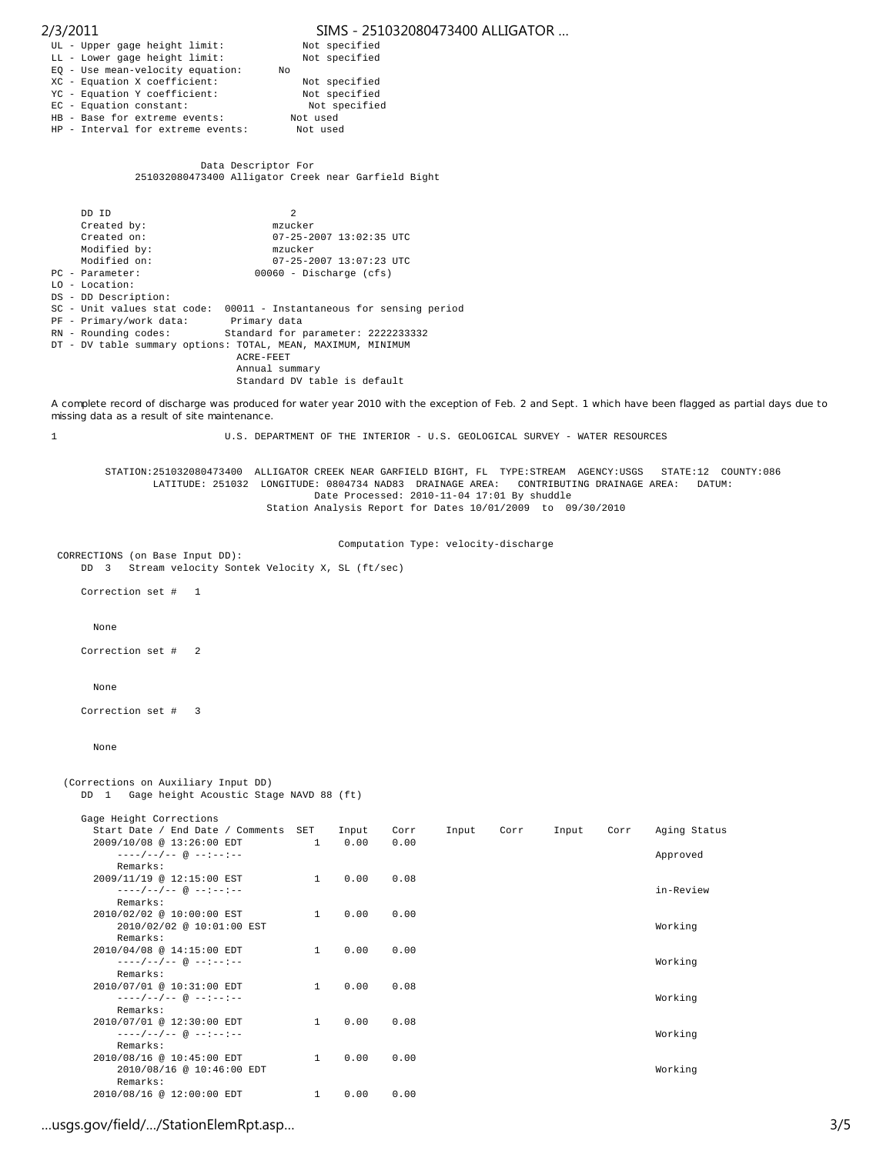### 2/3/2011 SIMS - 251032080473400 ALLIGATOR …

| UL - Upper gage height limit:     | Not specified |
|-----------------------------------|---------------|
| LL - Lower gage height limit:     | Not specified |
| EO - Use mean-velocity equation:  | Νo            |
| XC - Equation X coefficient:      | Not specified |
| YC - Equation Y coefficient:      | Not specified |
| EC - Equation constant:           | Not specified |
| HB - Base for extreme events:     | Not used      |
| HP - Interval for extreme events: | Not used      |
|                                   |               |

 Data Descriptor For 251032080473400 Alligator Creek near Garfield Bight

```
DD ID 2<br>Created by: 2<br>mzucker
     Created by:<br>Created on:
                                        07-25-2007 13:02:35 UTC<br>mzucker
     Modified by:<br>Modified on:
Modified on: 07-25-2007 13:07:23 UTC<br>PC - Parameter: 00060 - Discharge (cfs)
                                     00060 - Discharge (cfs)
LO - Location: 
DS - DD Description: 
SC - Unit values stat code: 00011 - Instantaneous for sensing period 
PF - Primary/work data: Primary data 
                               Standard for parameter: 2222233332
DT - DV table summary options: TOTAL, MEAN, MAXIMUM, MINIMUM 
                                   ACRE-FEET 
                                   Annual summary 
                                   Standard DV table is default
```
A complete record of discharge was produced for water year 2010 with the exception of Feb. 2 and Sept. 1 which have been flagged as partial days due to missing data as a result of site maintenance.

1 U.S. DEPARTMENT OF THE INTERIOR - U.S. GEOLOGICAL SURVEY - WATER RESOURCES

 STATION:251032080473400 ALLIGATOR CREEK NEAR GARFIELD BIGHT, FL TYPE:STREAM AGENCY:USGS STATE:12 COUNTY:086 LATITUDE: 251032 LONGITUDE: 0804734 NAD83 DRAINAGE AREA: CONTRIBUTING DRAINAGE AREA: DATUM: Date Processed: 2010-11-04 17:01 By shuddle Station Analysis Report for Dates 10/01/2009 to 09/30/2010

Computation Type: velocity-discharge

 CORRECTIONS (on Base Input DD): DD 3 Stream velocity Sontek Velocity X, SL (ft/sec)

Correction set # 1

None

Correction set # 2

None

Correction set # 3

None

 (Corrections on Auxiliary Input DD) DD 1 Gage height Acoustic Stage NAVD 88 (ft)

| Gage Height Corrections              |              |        |      |       |      |       |      |              |
|--------------------------------------|--------------|--------|------|-------|------|-------|------|--------------|
| Start Date / End Date / Comments SET |              | Input  | Corr | Input | Corr | Input | Corr | Aging Status |
| 2009/10/08 @ 13:26:00 EDT            |              | 1 0.00 | 0.00 |       |      |       |      |              |
| $---  --- / -  \omega$ $---$ : $---$ |              |        |      |       |      |       |      | Approved     |
| Remarks:                             |              |        |      |       |      |       |      |              |
| 2009/11/19 @ 12:15:00 EST            | $\mathbf{1}$ | 0.00   | 0.08 |       |      |       |      |              |
| $--- -$ / - - / - - @ --:--:--       |              |        |      |       |      |       |      | in-Review    |
| Remarks:                             |              |        |      |       |      |       |      |              |
| 2010/02/02 @ 10:00:00 EST            | $\mathbf{1}$ | 0.00   | 0.00 |       |      |       |      |              |
| 2010/02/02 @ 10:01:00 EST            |              |        |      |       |      |       |      | Working      |
| Remarks:                             |              |        |      |       |      |       |      |              |
| 2010/04/08 @ 14:15:00 EDT            | $\mathbf{1}$ | 0.00   | 0.00 |       |      |       |      |              |
| $--- -$ / - - / - - @ --:--:--       |              |        |      |       |      |       |      | Working      |
| Remarks:                             |              |        |      |       |      |       |      |              |
| 2010/07/01 @ 10:31:00 EDT            | $\mathbf{1}$ | 0.00   | 0.08 |       |      |       |      |              |
| $---/---/---$ (a) $---:---$          |              |        |      |       |      |       |      | Working      |
| Remarks:                             |              |        |      |       |      |       |      |              |
| 2010/07/01 @ 12:30:00 EDT            | $\mathbf{1}$ | 0.00   | 0.08 |       |      |       |      |              |
| $--- -$ / - - / - - @ --:--:--       |              |        |      |       |      |       |      | Working      |
| Remarks:                             |              |        |      |       |      |       |      |              |
| 2010/08/16 @ 10:45:00 EDT            | $\mathbf{1}$ | 0.00   | 0.00 |       |      |       |      |              |
| 2010/08/16 @ 10:46:00 EDT            |              |        |      |       |      |       |      | Working      |
| Remarks:                             |              |        |      |       |      |       |      |              |
| 2010/08/16 @ 12:00:00 EDT            | $\mathbf{1}$ | 0.00   | 0.00 |       |      |       |      |              |

# …usgs.gov/field/…/StationElemRpt.asp… 3/5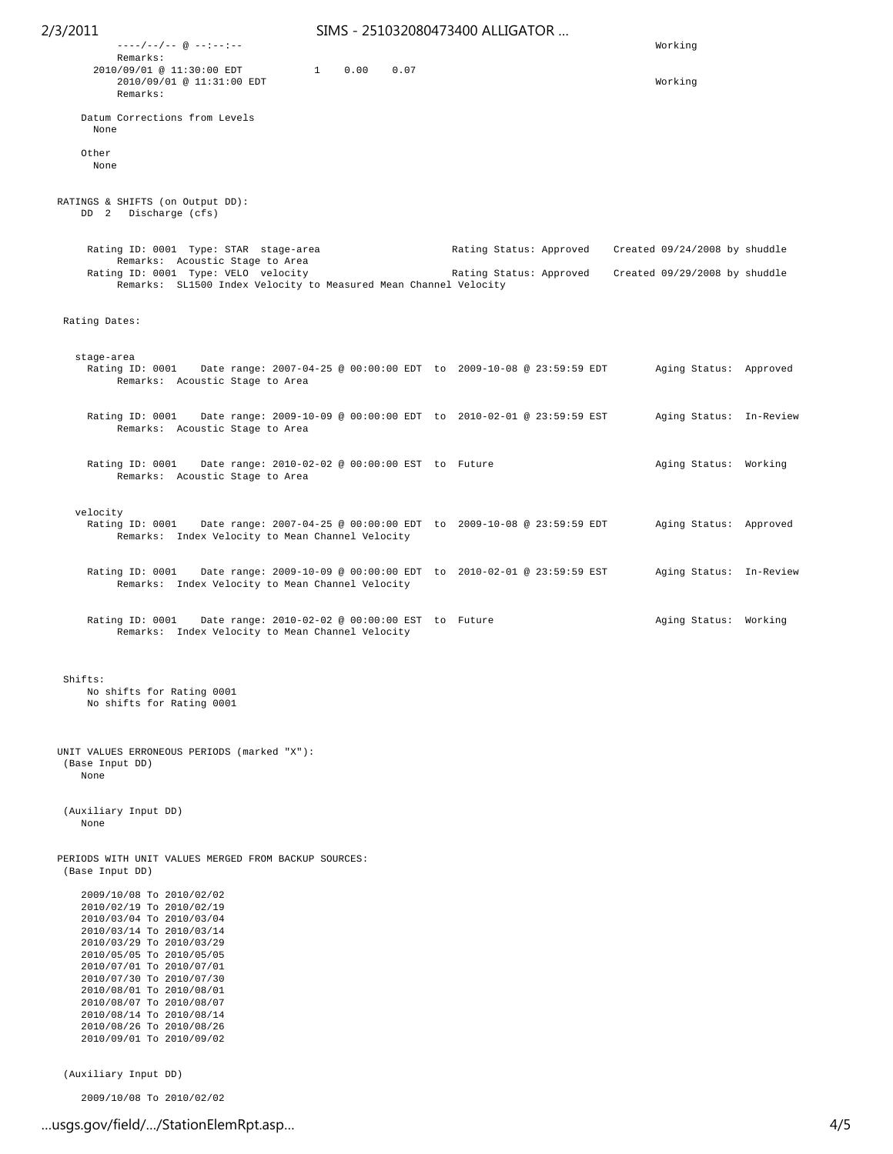| 2/3/2011                |                                                                                                                                                                                                                                                                                                                                                                          |                                                 | SIMS - 251032080473400 ALLIGATOR                                   |                               |
|-------------------------|--------------------------------------------------------------------------------------------------------------------------------------------------------------------------------------------------------------------------------------------------------------------------------------------------------------------------------------------------------------------------|-------------------------------------------------|--------------------------------------------------------------------|-------------------------------|
|                         | $---/---/---$ @ --:--:--                                                                                                                                                                                                                                                                                                                                                 |                                                 |                                                                    | Working                       |
|                         | Remarks:<br>2010/09/01 @ 11:30:00 EDT<br>2010/09/01 @ 11:31:00 EDT<br>Remarks:                                                                                                                                                                                                                                                                                           | $1 \qquad 0.00$<br>0.07                         |                                                                    | Working                       |
|                         | Datum Corrections from Levels                                                                                                                                                                                                                                                                                                                                            |                                                 |                                                                    |                               |
| None                    |                                                                                                                                                                                                                                                                                                                                                                          |                                                 |                                                                    |                               |
| Other                   |                                                                                                                                                                                                                                                                                                                                                                          |                                                 |                                                                    |                               |
| None                    |                                                                                                                                                                                                                                                                                                                                                                          |                                                 |                                                                    |                               |
| DD <sub>2</sub>         | RATINGS & SHIFTS (on Output DD):<br>Discharge (cfs)                                                                                                                                                                                                                                                                                                                      |                                                 |                                                                    |                               |
|                         | Rating ID: 0001 Type: STAR stage-area                                                                                                                                                                                                                                                                                                                                    |                                                 | Rating Status: Approved                                            | Created 09/24/2008 by shuddle |
|                         | Remarks: Acoustic Stage to Area<br>Rating ID: 0001 Type: VELO velocity<br>Remarks: SL1500 Index Velocity to Measured Mean Channel Velocity                                                                                                                                                                                                                               |                                                 | Rating Status: Approved                                            | Created 09/29/2008 by shuddle |
| Rating Dates:           |                                                                                                                                                                                                                                                                                                                                                                          |                                                 |                                                                    |                               |
| stage-area              | Rating ID: 0001<br>Remarks: Acoustic Stage to Area                                                                                                                                                                                                                                                                                                                       |                                                 | Date range: 2007-04-25 @ 00:00:00 EDT to 2009-10-08 @ 23:59:59 EDT | Aging Status: Approved        |
|                         | Rating ID: 0001<br>Remarks: Acoustic Stage to Area                                                                                                                                                                                                                                                                                                                       |                                                 | Date range: 2009-10-09 @ 00:00:00 EDT to 2010-02-01 @ 23:59:59 EST | Aging Status: In-Review       |
|                         | Rating ID: 0001 Date range: 2010-02-02 @ 00:00:00 EST to Future<br>Remarks: Acoustic Stage to Area                                                                                                                                                                                                                                                                       |                                                 |                                                                    | Aging Status: Working         |
| velocity                | Rating ID: 0001<br>Remarks: Index Velocity to Mean Channel Velocity                                                                                                                                                                                                                                                                                                      |                                                 | Date range: 2007-04-25 @ 00:00:00 EDT to 2009-10-08 @ 23:59:59 EDT | Aging Status: Approved        |
|                         | Rating ID: 0001<br>Remarks: Index Velocity to Mean Channel Velocity                                                                                                                                                                                                                                                                                                      |                                                 | Date range: 2009-10-09 @ 00:00:00 EDT to 2010-02-01 @ 23:59:59 EST | Aging Status: In-Review       |
|                         | Rating ID: 0001<br>Remarks: Index Velocity to Mean Channel Velocity                                                                                                                                                                                                                                                                                                      | Date range: 2010-02-02 @ 00:00:00 EST to Future |                                                                    | Aging Status: Working         |
| Shifts:                 | No shifts for Rating 0001<br>No shifts for Rating 0001                                                                                                                                                                                                                                                                                                                   |                                                 |                                                                    |                               |
| (Base Input DD)<br>None | UNIT VALUES ERRONEOUS PERIODS (marked "X"):                                                                                                                                                                                                                                                                                                                              |                                                 |                                                                    |                               |
| None                    | (Auxiliary Input DD)                                                                                                                                                                                                                                                                                                                                                     |                                                 |                                                                    |                               |
| (Base Input DD)         | PERIODS WITH UNIT VALUES MERGED FROM BACKUP SOURCES:                                                                                                                                                                                                                                                                                                                     |                                                 |                                                                    |                               |
|                         | 2009/10/08 To 2010/02/02<br>2010/02/19 To 2010/02/19<br>2010/03/04 To 2010/03/04<br>2010/03/14 To 2010/03/14<br>2010/03/29 To 2010/03/29<br>2010/05/05 To 2010/05/05<br>2010/07/01 To 2010/07/01<br>2010/07/30 To 2010/07/30<br>2010/08/01 To 2010/08/01<br>2010/08/07 To 2010/08/07<br>2010/08/14 To 2010/08/14<br>2010/08/26 To 2010/08/26<br>2010/09/01 To 2010/09/02 |                                                 |                                                                    |                               |
|                         | (Auxiliary Input DD)                                                                                                                                                                                                                                                                                                                                                     |                                                 |                                                                    |                               |